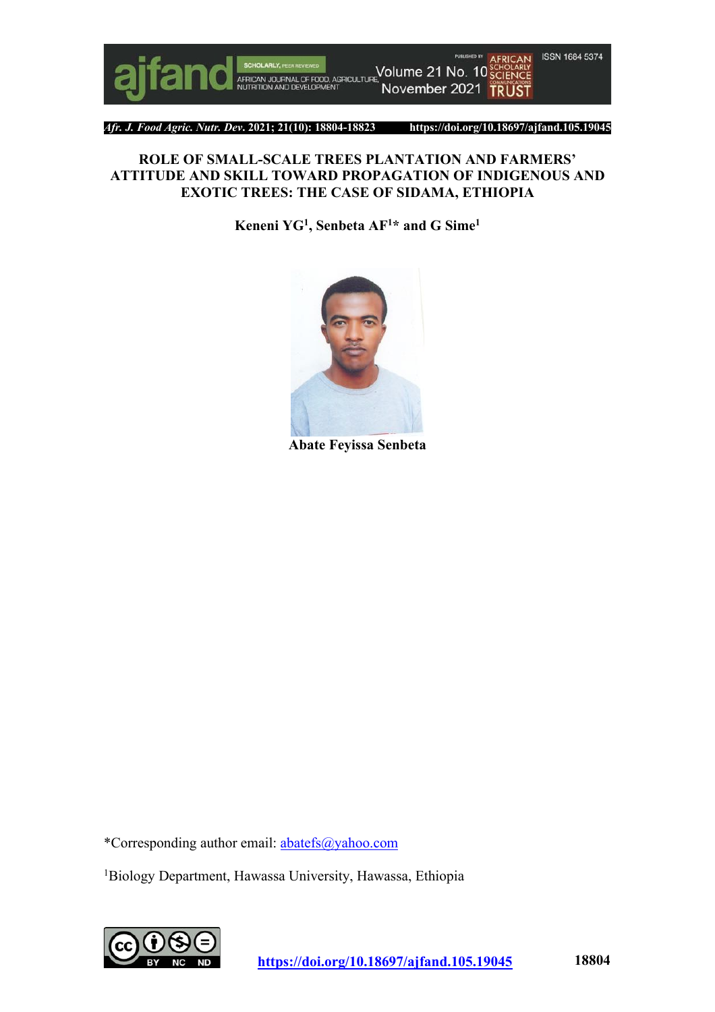

*Afr. J. Food Agric. Nutr. Dev***. 2021; 21(10): 18804-18823 https://doi.org/10.18697/ajfand.105.19045**

#### **ROLE OF SMALL-SCALE TREES PLANTATION AND FARMERS' ATTITUDE AND SKILL TOWARD PROPAGATION OF INDIGENOUS AND EXOTIC TREES: THE CASE OF SIDAMA, ETHIOPIA**

**Keneni YG1 , Senbeta AF1 \* and G Sime1**



**Abate Feyissa Senbeta**

\*Corresponding author email: abatefs@yahoo.com

1 Biology Department, Hawassa University, Hawassa, Ethiopia

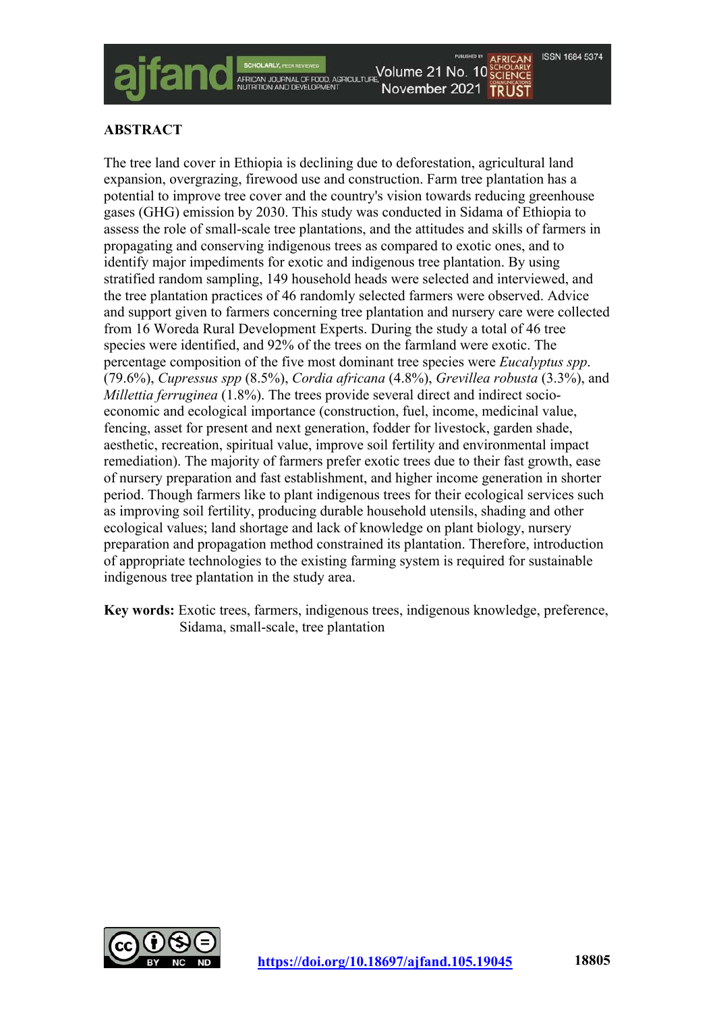# **ABSTRACT**

The tree land cover in Ethiopia is declining due to deforestation, agricultural land expansion, overgrazing, firewood use and construction. Farm tree plantation has a potential to improve tree cover and the country's vision towards reducing greenhouse gases (GHG) emission by 2030. This study was conducted in Sidama of Ethiopia to assess the role of small-scale tree plantations, and the attitudes and skills of farmers in propagating and conserving indigenous trees as compared to exotic ones, and to identify major impediments for exotic and indigenous tree plantation. By using stratified random sampling, 149 household heads were selected and interviewed, and the tree plantation practices of 46 randomly selected farmers were observed. Advice and support given to farmers concerning tree plantation and nursery care were collected from 16 Woreda Rural Development Experts. During the study a total of 46 tree species were identified, and 92% of the trees on the farmland were exotic. The percentage composition of the five most dominant tree species were *Eucalyptus spp*. (79.6%), *Cupressus spp* (8.5%), *Cordia africana* (4.8%), *Grevillea robusta* (3.3%), and *Millettia ferruginea* (1.8%). The trees provide several direct and indirect socioeconomic and ecological importance (construction, fuel, income, medicinal value, fencing, asset for present and next generation, fodder for livestock, garden shade, aesthetic, recreation, spiritual value, improve soil fertility and environmental impact remediation). The majority of farmers prefer exotic trees due to their fast growth, ease of nursery preparation and fast establishment, and higher income generation in shorter period. Though farmers like to plant indigenous trees for their ecological services such as improving soil fertility, producing durable household utensils, shading and other ecological values; land shortage and lack of knowledge on plant biology, nursery preparation and propagation method constrained its plantation. Therefore, introduction of appropriate technologies to the existing farming system is required for sustainable indigenous tree plantation in the study area.

**Key words:** Exotic trees, farmers, indigenous trees, indigenous knowledge, preference, Sidama, small-scale, tree plantation

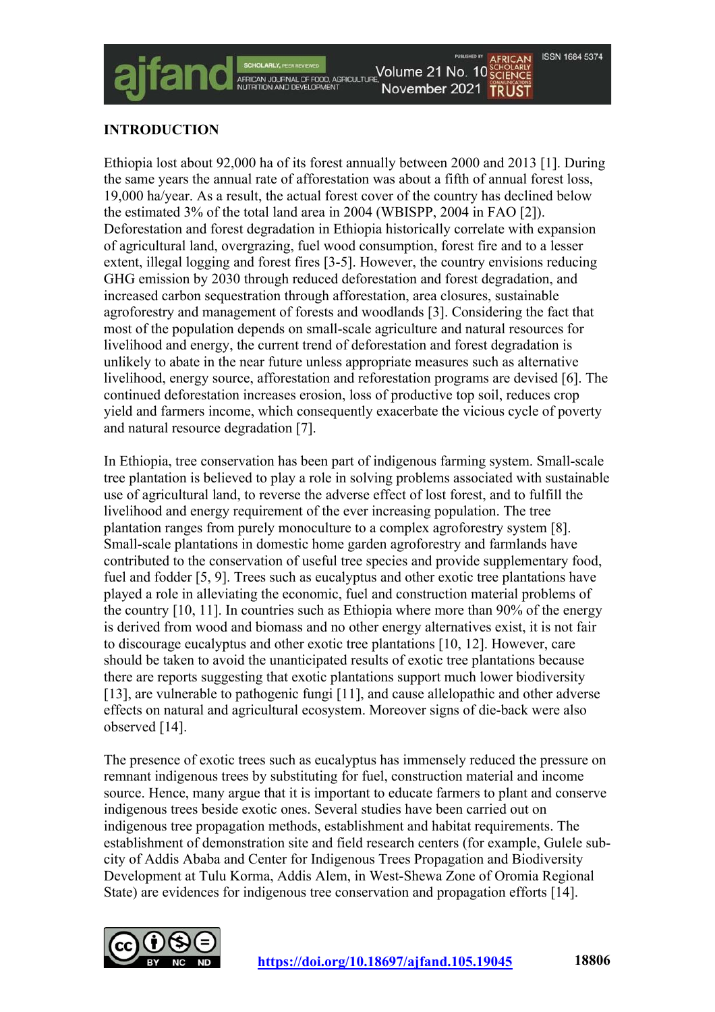## **INTRODUCTION**

Ethiopia lost about 92,000 ha of its forest annually between 2000 and 2013 [1]. During the same years the annual rate of afforestation was about a fifth of annual forest loss, 19,000 ha/year. As a result, the actual forest cover of the country has declined below the estimated 3% of the total land area in 2004 (WBISPP, 2004 in FAO [2]). Deforestation and forest degradation in Ethiopia historically correlate with expansion of agricultural land, overgrazing, fuel wood consumption, forest fire and to a lesser extent, illegal logging and forest fires [3-5]. However, the country envisions reducing GHG emission by 2030 through reduced deforestation and forest degradation, and increased carbon sequestration through afforestation, area closures, sustainable agroforestry and management of forests and woodlands [3]. Considering the fact that most of the population depends on small-scale agriculture and natural resources for livelihood and energy, the current trend of deforestation and forest degradation is unlikely to abate in the near future unless appropriate measures such as alternative livelihood, energy source, afforestation and reforestation programs are devised [6]. The continued deforestation increases erosion, loss of productive top soil, reduces crop yield and farmers income, which consequently exacerbate the vicious cycle of poverty and natural resource degradation [7].

AFRICAN JOURNAL OF FOOD, AGRICULTURE

In Ethiopia, tree conservation has been part of indigenous farming system. Small-scale tree plantation is believed to play a role in solving problems associated with sustainable use of agricultural land, to reverse the adverse effect of lost forest, and to fulfill the livelihood and energy requirement of the ever increasing population. The tree plantation ranges from purely monoculture to a complex agroforestry system [8]. Small-scale plantations in domestic home garden agroforestry and farmlands have contributed to the conservation of useful tree species and provide supplementary food, fuel and fodder [5, 9]. Trees such as eucalyptus and other exotic tree plantations have played a role in alleviating the economic, fuel and construction material problems of the country [10, 11]. In countries such as Ethiopia where more than 90% of the energy is derived from wood and biomass and no other energy alternatives exist, it is not fair to discourage eucalyptus and other exotic tree plantations [10, 12]. However, care should be taken to avoid the unanticipated results of exotic tree plantations because there are reports suggesting that exotic plantations support much lower biodiversity [13], are vulnerable to pathogenic fungi [11], and cause allelopathic and other adverse effects on natural and agricultural ecosystem. Moreover signs of die-back were also observed [14].

The presence of exotic trees such as eucalyptus has immensely reduced the pressure on remnant indigenous trees by substituting for fuel, construction material and income source. Hence, many argue that it is important to educate farmers to plant and conserve indigenous trees beside exotic ones. Several studies have been carried out on indigenous tree propagation methods, establishment and habitat requirements. The establishment of demonstration site and field research centers (for example, Gulele subcity of Addis Ababa and Center for Indigenous Trees Propagation and Biodiversity Development at Tulu Korma, Addis Alem, in West-Shewa Zone of Oromia Regional State) are evidences for indigenous tree conservation and propagation efforts [14].

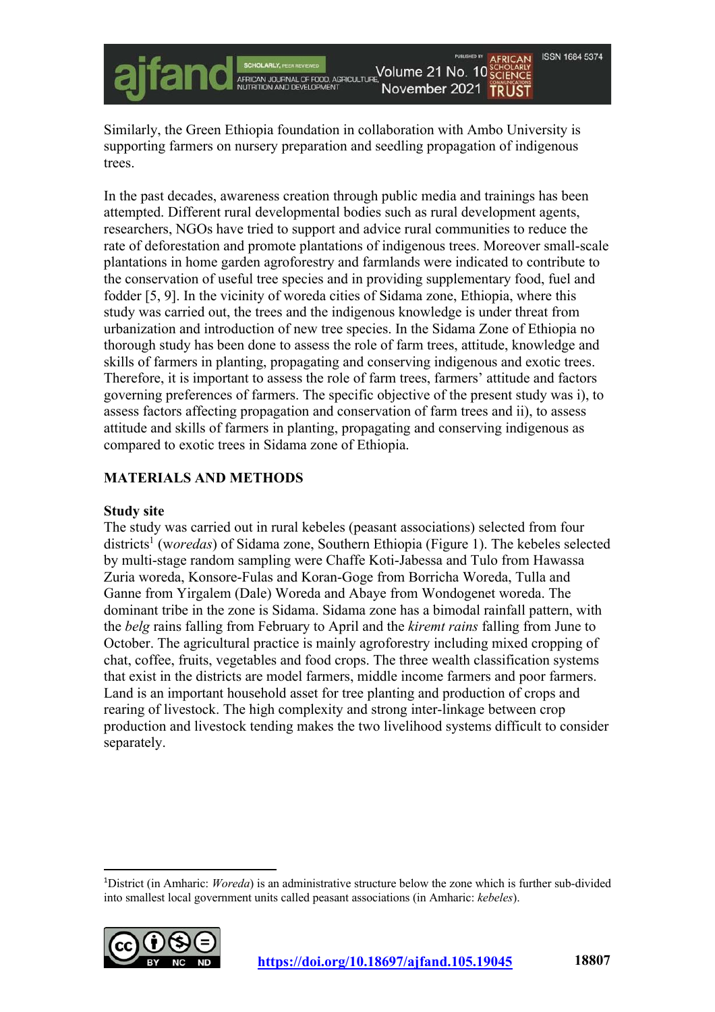Similarly, the Green Ethiopia foundation in collaboration with Ambo University is supporting farmers on nursery preparation and seedling propagation of indigenous trees.

In the past decades, awareness creation through public media and trainings has been attempted. Different rural developmental bodies such as rural development agents, researchers, NGOs have tried to support and advice rural communities to reduce the rate of deforestation and promote plantations of indigenous trees. Moreover small-scale plantations in home garden agroforestry and farmlands were indicated to contribute to the conservation of useful tree species and in providing supplementary food, fuel and fodder [5, 9]. In the vicinity of woreda cities of Sidama zone, Ethiopia, where this study was carried out, the trees and the indigenous knowledge is under threat from urbanization and introduction of new tree species. In the Sidama Zone of Ethiopia no thorough study has been done to assess the role of farm trees, attitude, knowledge and skills of farmers in planting, propagating and conserving indigenous and exotic trees. Therefore, it is important to assess the role of farm trees, farmers' attitude and factors governing preferences of farmers. The specific objective of the present study was i), to assess factors affecting propagation and conservation of farm trees and ii), to assess attitude and skills of farmers in planting, propagating and conserving indigenous as compared to exotic trees in Sidama zone of Ethiopia.

# **MATERIALS AND METHODS**

#### **Study site**

The study was carried out in rural kebeles (peasant associations) selected from four districts<sup>1</sup> (woredas) of Sidama zone, Southern Ethiopia (Figure 1). The kebeles selected by multi-stage random sampling were Chaffe Koti-Jabessa and Tulo from Hawassa Zuria woreda, Konsore-Fulas and Koran-Goge from Borricha Woreda, Tulla and Ganne from Yirgalem (Dale) Woreda and Abaye from Wondogenet woreda. The dominant tribe in the zone is Sidama. Sidama zone has a bimodal rainfall pattern, with the *belg* rains falling from February to April and the *kiremt rains* falling from June to October. The agricultural practice is mainly agroforestry including mixed cropping of chat, coffee, fruits, vegetables and food crops. The three wealth classification systems that exist in the districts are model farmers, middle income farmers and poor farmers. Land is an important household asset for tree planting and production of crops and rearing of livestock. The high complexity and strong inter-linkage between crop production and livestock tending makes the two livelihood systems difficult to consider separately.

<sup>1</sup> District (in Amharic: *Woreda*) is an administrative structure below the zone which is further sub-divided into smallest local government units called peasant associations (in Amharic: *kebeles*).

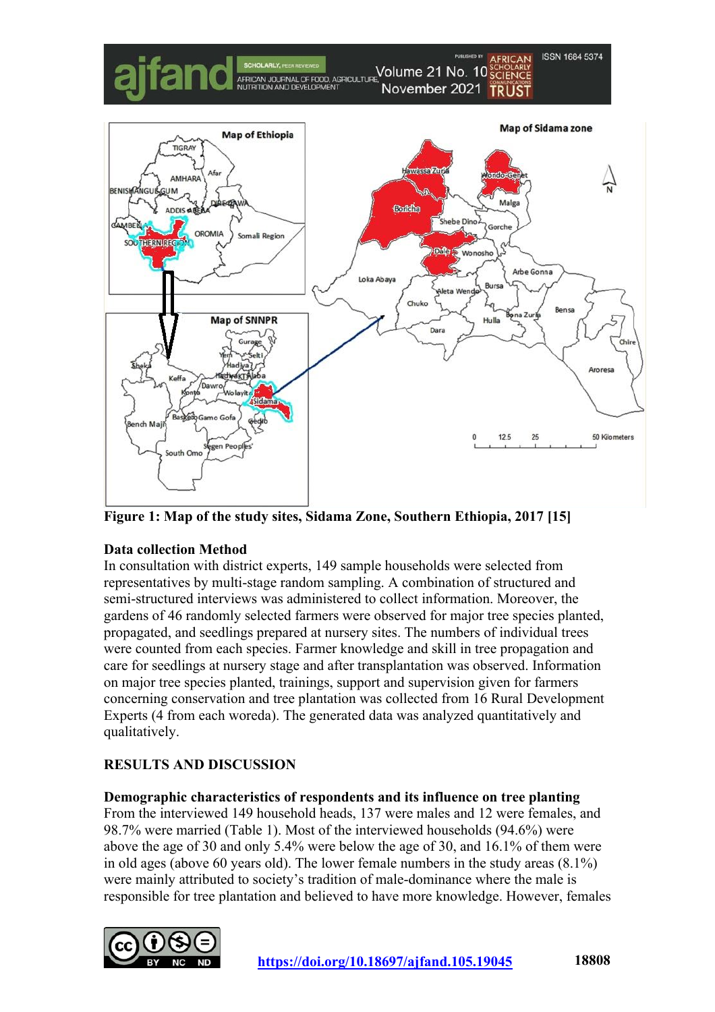

**Figure 1: Map of the study sites, Sidama Zone, Southern Ethiopia, 2017 [15]**

# **Data collection Method**

In consultation with district experts, 149 sample households were selected from representatives by multi-stage random sampling. A combination of structured and semi-structured interviews was administered to collect information. Moreover, the gardens of 46 randomly selected farmers were observed for major tree species planted, propagated, and seedlings prepared at nursery sites. The numbers of individual trees were counted from each species. Farmer knowledge and skill in tree propagation and care for seedlings at nursery stage and after transplantation was observed. Information on major tree species planted, trainings, support and supervision given for farmers concerning conservation and tree plantation was collected from 16 Rural Development Experts (4 from each woreda). The generated data was analyzed quantitatively and qualitatively.

# **RESULTS AND DISCUSSION**

# **Demographic characteristics of respondents and its influence on tree planting**

From the interviewed 149 household heads, 137 were males and 12 were females, and 98.7% were married (Table 1). Most of the interviewed households (94.6%) were above the age of 30 and only 5.4% were below the age of 30, and 16.1% of them were in old ages (above 60 years old). The lower female numbers in the study areas (8.1%) were mainly attributed to society's tradition of male-dominance where the male is responsible for tree plantation and believed to have more knowledge. However, females

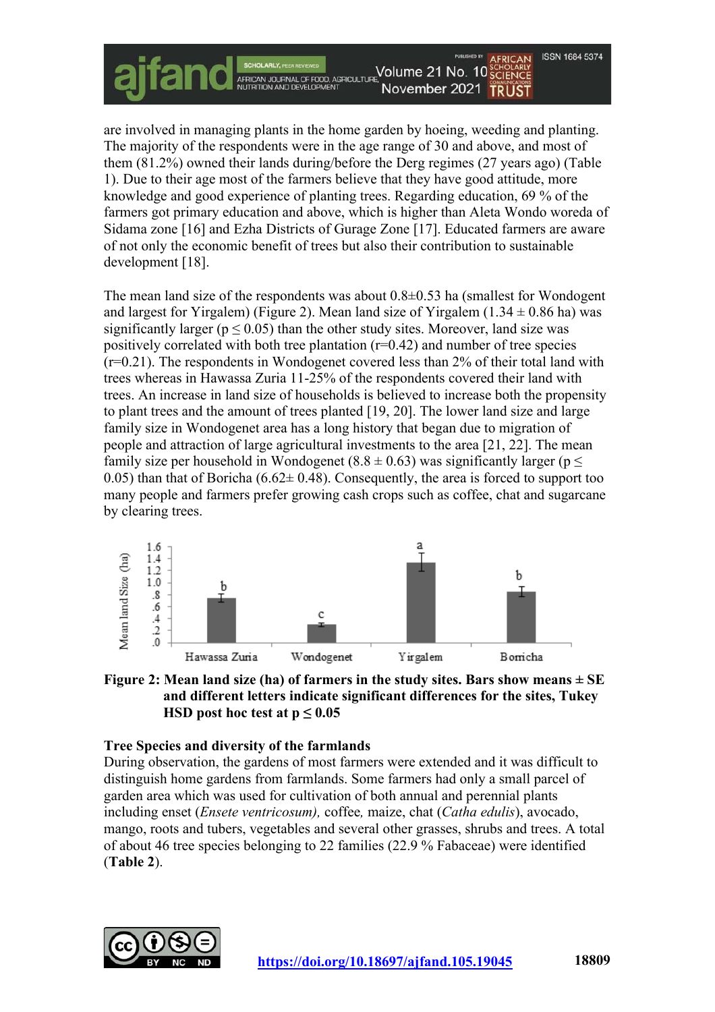are involved in managing plants in the home garden by hoeing, weeding and planting. The majority of the respondents were in the age range of 30 and above, and most of them (81.2%) owned their lands during/before the Derg regimes (27 years ago) (Table 1). Due to their age most of the farmers believe that they have good attitude, more knowledge and good experience of planting trees. Regarding education, 69 % of the farmers got primary education and above, which is higher than Aleta Wondo woreda of Sidama zone [16] and Ezha Districts of Gurage Zone [17]. Educated farmers are aware of not only the economic benefit of trees but also their contribution to sustainable development [18].

SCHOLARLY, FEERING AND ESCHOLARLY<br>AFRICAN JOURNAL OF FOOD, AGRICULTURE, **VOLUME 21 NO. 10** SCIENCE<br>NUTRITION AND DEVELOPMENT NOVEMBER 2021 TRILLET

**ISSN 1684 5374** 

AFRICAN

November 2021 TRUST

The mean land size of the respondents was about  $0.8\pm0.53$  ha (smallest for Wondogent and largest for Yirgalem) (Figure 2). Mean land size of Yirgalem (1.34  $\pm$  0.86 ha) was significantly larger ( $p \le 0.05$ ) than the other study sites. Moreover, land size was positively correlated with both tree plantation  $(r=0.42)$  and number of tree species (r=0.21). The respondents in Wondogenet covered less than 2% of their total land with trees whereas in Hawassa Zuria 11-25% of the respondents covered their land with trees. An increase in land size of households is believed to increase both the propensity to plant trees and the amount of trees planted [19, 20]. The lower land size and large family size in Wondogenet area has a long history that began due to migration of people and attraction of large agricultural investments to the area [21, 22]. The mean family size per household in Wondogenet (8.8  $\pm$  0.63) was significantly larger (p  $\le$ 0.05) than that of Boricha (6.62 $\pm$  0.48). Consequently, the area is forced to support too many people and farmers prefer growing cash crops such as coffee, chat and sugarcane by clearing trees.



**Figure** 2: Mean land size (ha) of farmers in the study sites. Bars show means  $\pm$  SE **and different letters indicate significant differences for the sites, Tukey HSD** post hoc test at  $p \leq 0.05$ 

# **Tree Species and diversity of the farmlands**

During observation, the gardens of most farmers were extended and it was difficult to distinguish home gardens from farmlands. Some farmers had only a small parcel of garden area which was used for cultivation of both annual and perennial plants including enset (*Ensete ventricosum),* coffee*,* maize, chat (*Catha edulis*), avocado, mango, roots and tubers, vegetables and several other grasses, shrubs and trees. A total of about 46 tree species belonging to 22 families (22.9 % Fabaceae) were identified (**Table 2**).

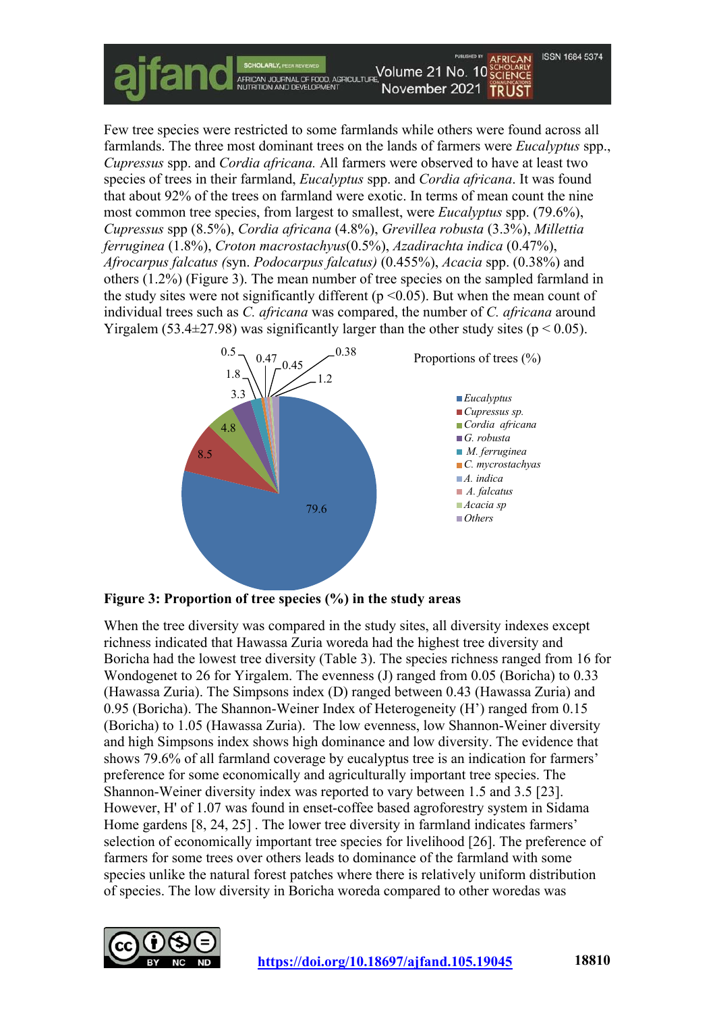Few tree species were restricted to some farmlands while others were found across all farmlands. The three most dominant trees on the lands of farmers were *Eucalyptus* spp., *Cupressus* spp. and *Cordia africana.* All farmers were observed to have at least two species of trees in their farmland, *Eucalyptus* spp. and *Cordia africana*. It was found that about 92% of the trees on farmland were exotic. In terms of mean count the nine most common tree species, from largest to smallest, were *Eucalyptus* spp. (79.6%), *Cupressus* spp (8.5%), *Cordia africana* (4.8%), *Grevillea robusta* (3.3%), *Millettia ferruginea* (1.8%), *Croton macrostachyus*(0.5%), *Azadirachta indica* (0.47%), *Afrocarpus falcatus (*syn. *Podocarpus falcatus)* (0.455%), *Acacia* spp. (0.38%) and others (1.2%) (Figure 3). The mean number of tree species on the sampled farmland in the study sites were not significantly different ( $p \le 0.05$ ). But when the mean count of individual trees such as *C. africana* was compared, the number of *C. africana* around Yirgalem (53.4 $\pm$ 27.98) was significantly larger than the other study sites (p < 0.05).

AFRICAN JOURNAL OF FOOD, AGRICULTURE<br>AFRICAN JOURNAL OF FOOD, AGRICULTURE<br>NUTRITION AND DEVELOPMENT

**ISSN 1684 5374** 

**PUBLISHED BY** 

Volume 21 No. 10 SCHOLARLY

November 2021 TRUST

**AFRICAN** 



**Figure 3: Proportion of tree species (%) in the study areas**

When the tree diversity was compared in the study sites, all diversity indexes except richness indicated that Hawassa Zuria woreda had the highest tree diversity and Boricha had the lowest tree diversity (Table 3). The species richness ranged from 16 for Wondogenet to 26 for Yirgalem. The evenness (J) ranged from 0.05 (Boricha) to 0.33 (Hawassa Zuria). The Simpsons index (D) ranged between 0.43 (Hawassa Zuria) and 0.95 (Boricha). The Shannon-Weiner Index of Heterogeneity (H') ranged from 0.15 (Boricha) to 1.05 (Hawassa Zuria). The low evenness, low Shannon-Weiner diversity and high Simpsons index shows high dominance and low diversity. The evidence that shows 79.6% of all farmland coverage by eucalyptus tree is an indication for farmers' preference for some economically and agriculturally important tree species. The Shannon-Weiner diversity index was reported to vary between 1.5 and 3.5 [23]. However, H' of 1.07 was found in enset-coffee based agroforestry system in Sidama Home gardens [8, 24, 25] . The lower tree diversity in farmland indicates farmers' selection of economically important tree species for livelihood [26]. The preference of farmers for some trees over others leads to dominance of the farmland with some species unlike the natural forest patches where there is relatively uniform distribution of species. The low diversity in Boricha woreda compared to other woredas was

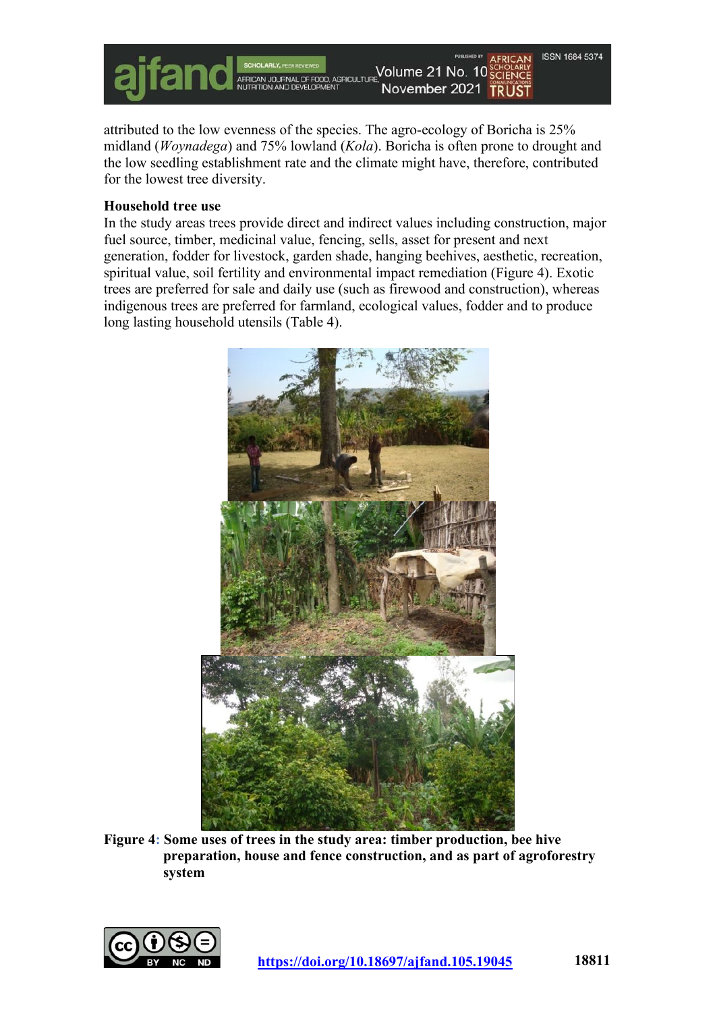ISSN 1684 5374 **AFRICAN** VED AGRICULTURE, **Volume 21 No. 10 SCHOLARLY**<br>FOOD, AGRICULTURE, **Volume 21 No. 10 SCIENCE** November 2021 TRUST

attributed to the low evenness of the species. The agro-ecology of Boricha is 25% midland (*Woynadega*) and 75% lowland (*Kola*). Boricha is often prone to drought and the low seedling establishment rate and the climate might have, therefore, contributed for the lowest tree diversity.

#### **Household tree use**

In the study areas trees provide direct and indirect values including construction, major fuel source, timber, medicinal value, fencing, sells, asset for present and next generation, fodder for livestock, garden shade, hanging beehives, aesthetic, recreation, spiritual value, soil fertility and environmental impact remediation (Figure 4). Exotic trees are preferred for sale and daily use (such as firewood and construction), whereas indigenous trees are preferred for farmland, ecological values, fodder and to produce long lasting household utensils (Table 4).



**Figure 4: Some uses of trees in the study area: timber production, bee hive preparation, house and fence construction, and as part of agroforestry system**

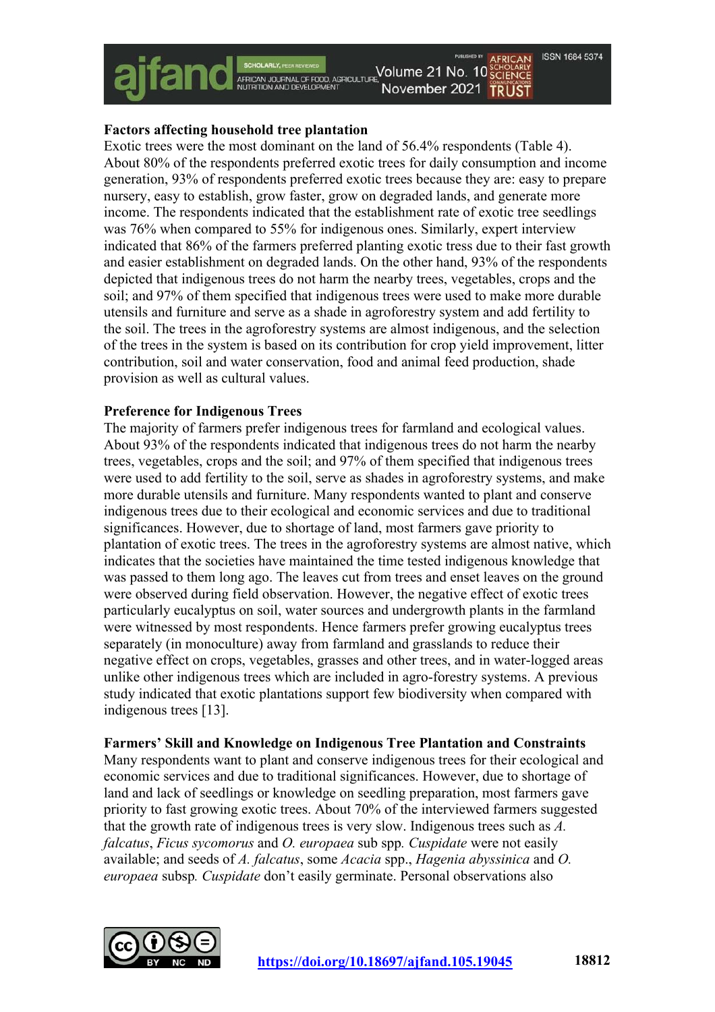#### **Factors affecting household tree plantation**

AFRICAN JOURNAL OF FOOD, AGRICULTURE

Exotic trees were the most dominant on the land of 56.4% respondents (Table 4). About 80% of the respondents preferred exotic trees for daily consumption and income generation, 93% of respondents preferred exotic trees because they are: easy to prepare nursery, easy to establish, grow faster, grow on degraded lands, and generate more income. The respondents indicated that the establishment rate of exotic tree seedlings was 76% when compared to 55% for indigenous ones. Similarly, expert interview indicated that 86% of the farmers preferred planting exotic tress due to their fast growth and easier establishment on degraded lands. On the other hand, 93% of the respondents depicted that indigenous trees do not harm the nearby trees, vegetables, crops and the soil; and 97% of them specified that indigenous trees were used to make more durable utensils and furniture and serve as a shade in agroforestry system and add fertility to the soil. The trees in the agroforestry systems are almost indigenous, and the selection of the trees in the system is based on its contribution for crop yield improvement, litter contribution, soil and water conservation, food and animal feed production, shade provision as well as cultural values.

#### **Preference for Indigenous Trees**

The majority of farmers prefer indigenous trees for farmland and ecological values. About 93% of the respondents indicated that indigenous trees do not harm the nearby trees, vegetables, crops and the soil; and 97% of them specified that indigenous trees were used to add fertility to the soil, serve as shades in agroforestry systems, and make more durable utensils and furniture. Many respondents wanted to plant and conserve indigenous trees due to their ecological and economic services and due to traditional significances. However, due to shortage of land, most farmers gave priority to plantation of exotic trees. The trees in the agroforestry systems are almost native, which indicates that the societies have maintained the time tested indigenous knowledge that was passed to them long ago. The leaves cut from trees and enset leaves on the ground were observed during field observation. However, the negative effect of exotic trees particularly eucalyptus on soil, water sources and undergrowth plants in the farmland were witnessed by most respondents. Hence farmers prefer growing eucalyptus trees separately (in monoculture) away from farmland and grasslands to reduce their negative effect on crops, vegetables, grasses and other trees, and in water-logged areas unlike other indigenous trees which are included in agro-forestry systems. A previous study indicated that exotic plantations support few biodiversity when compared with indigenous trees [13].

#### **Farmers' Skill and Knowledge on Indigenous Tree Plantation and Constraints**

Many respondents want to plant and conserve indigenous trees for their ecological and economic services and due to traditional significances. However, due to shortage of land and lack of seedlings or knowledge on seedling preparation, most farmers gave priority to fast growing exotic trees. About 70% of the interviewed farmers suggested that the growth rate of indigenous trees is very slow. Indigenous trees such as *A. falcatus*, *Ficus sycomorus* and *O. europaea* sub spp*. Cuspidate* were not easily available; and seeds of *A. falcatus*, some *Acacia* spp., *Hagenia abyssinica* and *O. europaea* subsp*. Cuspidate* don't easily germinate. Personal observations also

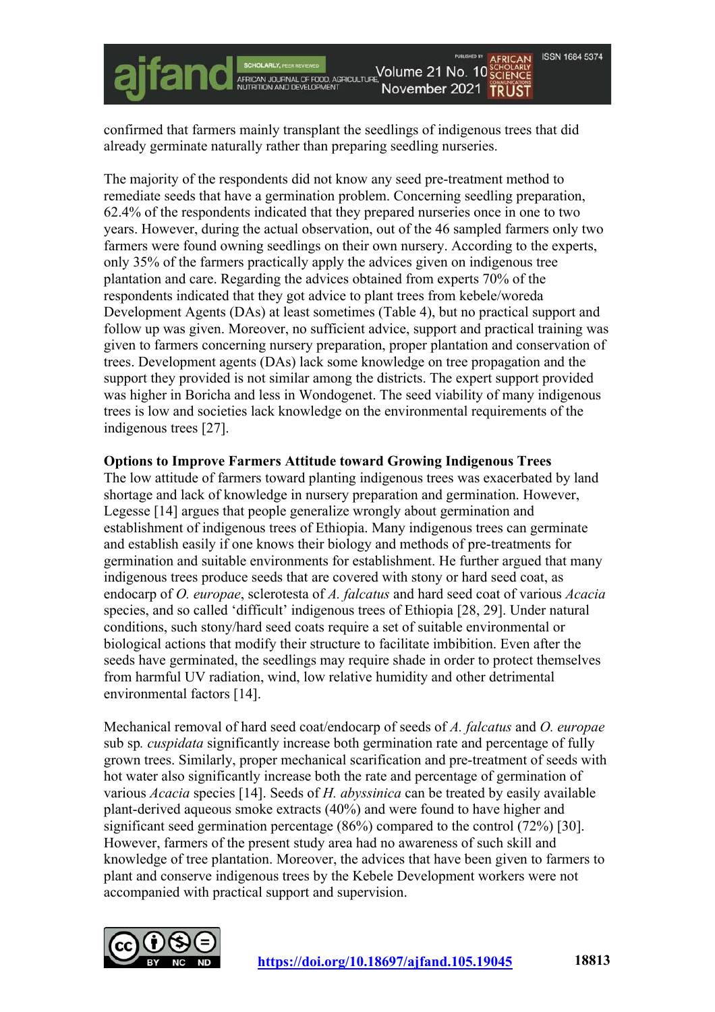confirmed that farmers mainly transplant the seedlings of indigenous trees that did already germinate naturally rather than preparing seedling nurseries.

The majority of the respondents did not know any seed pre-treatment method to remediate seeds that have a germination problem. Concerning seedling preparation, 62.4% of the respondents indicated that they prepared nurseries once in one to two years. However, during the actual observation, out of the 46 sampled farmers only two farmers were found owning seedlings on their own nursery. According to the experts, only 35% of the farmers practically apply the advices given on indigenous tree plantation and care. Regarding the advices obtained from experts 70% of the respondents indicated that they got advice to plant trees from kebele/woreda Development Agents (DAs) at least sometimes (Table 4), but no practical support and follow up was given. Moreover, no sufficient advice, support and practical training was given to farmers concerning nursery preparation, proper plantation and conservation of trees. Development agents (DAs) lack some knowledge on tree propagation and the support they provided is not similar among the districts. The expert support provided was higher in Boricha and less in Wondogenet. The seed viability of many indigenous trees is low and societies lack knowledge on the environmental requirements of the indigenous trees [27].

# **Options to Improve Farmers Attitude toward Growing Indigenous Trees**

The low attitude of farmers toward planting indigenous trees was exacerbated by land shortage and lack of knowledge in nursery preparation and germination. However, Legesse [14] argues that people generalize wrongly about germination and establishment of indigenous trees of Ethiopia. Many indigenous trees can germinate and establish easily if one knows their biology and methods of pre-treatments for germination and suitable environments for establishment. He further argued that many indigenous trees produce seeds that are covered with stony or hard seed coat, as endocarp of *O. europae*, sclerotesta of *A. falcatus* and hard seed coat of various *Acacia*  species, and so called 'difficult' indigenous trees of Ethiopia [28, 29]. Under natural conditions, such stony/hard seed coats require a set of suitable environmental or biological actions that modify their structure to facilitate imbibition. Even after the seeds have germinated, the seedlings may require shade in order to protect themselves from harmful UV radiation, wind, low relative humidity and other detrimental environmental factors [14].

Mechanical removal of hard seed coat/endocarp of seeds of *A. falcatus* and *O. europae*  sub sp*. cuspidata* significantly increase both germination rate and percentage of fully grown trees. Similarly, proper mechanical scarification and pre-treatment of seeds with hot water also significantly increase both the rate and percentage of germination of various *Acacia* species [14]. Seeds of *H. abyssinica* can be treated by easily available plant-derived aqueous smoke extracts (40%) and were found to have higher and significant seed germination percentage (86%) compared to the control (72%) [30]. However, farmers of the present study area had no awareness of such skill and knowledge of tree plantation. Moreover, the advices that have been given to farmers to plant and conserve indigenous trees by the Kebele Development workers were not accompanied with practical support and supervision.

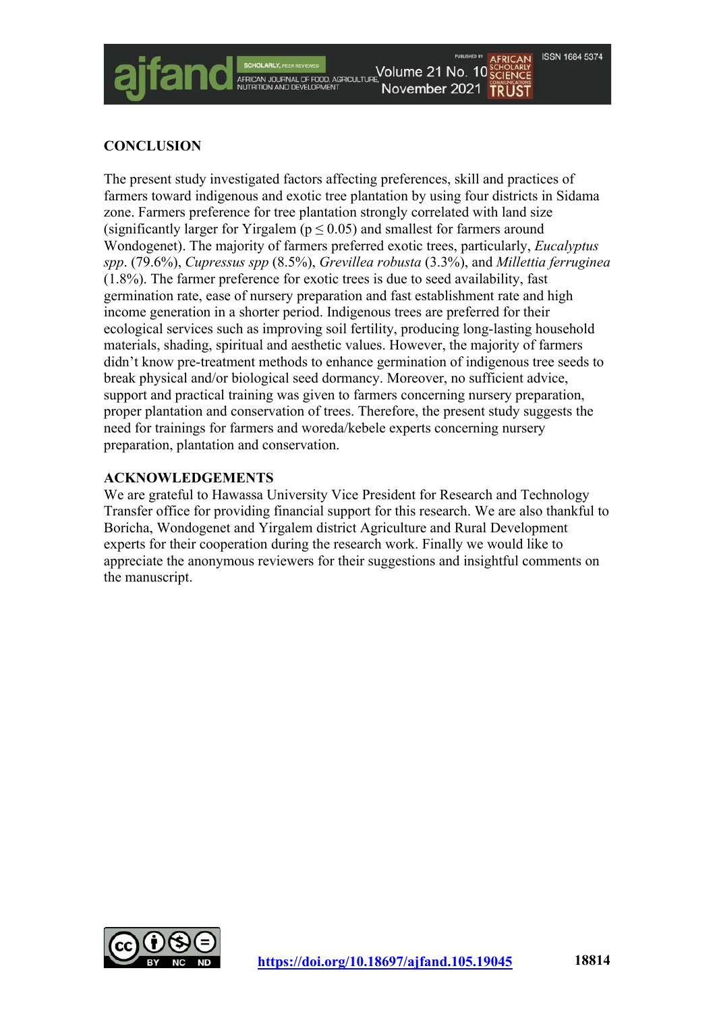

The present study investigated factors affecting preferences, skill and practices of farmers toward indigenous and exotic tree plantation by using four districts in Sidama zone. Farmers preference for tree plantation strongly correlated with land size (significantly larger for Yirgalem ( $p \le 0.05$ ) and smallest for farmers around Wondogenet). The majority of farmers preferred exotic trees, particularly, *Eucalyptus spp*. (79.6%), *Cupressus spp* (8.5%), *Grevillea robusta* (3.3%), and *Millettia ferruginea* (1.8%). The farmer preference for exotic trees is due to seed availability, fast germination rate, ease of nursery preparation and fast establishment rate and high income generation in a shorter period. Indigenous trees are preferred for their ecological services such as improving soil fertility, producing long-lasting household materials, shading, spiritual and aesthetic values. However, the majority of farmers didn't know pre-treatment methods to enhance germination of indigenous tree seeds to break physical and/or biological seed dormancy. Moreover, no sufficient advice, support and practical training was given to farmers concerning nursery preparation, proper plantation and conservation of trees. Therefore, the present study suggests the need for trainings for farmers and woreda/kebele experts concerning nursery preparation, plantation and conservation.

SCHOLARLY, FEERING WEDGENER MARRY<br>AFRICAN JOURNAL OF FOOD, AGRICULTURE, **VOLUME 21 NO. 10** SCHOLARLY<br>NUTRITION AND DEVELOPMENT

November 2021 TRUST

**ISSN 1684 5374** 

#### **ACKNOWLEDGEMENTS**

We are grateful to Hawassa University Vice President for Research and Technology Transfer office for providing financial support for this research. We are also thankful to Boricha, Wondogenet and Yirgalem district Agriculture and Rural Development experts for their cooperation during the research work. Finally we would like to appreciate the anonymous reviewers for their suggestions and insightful comments on the manuscript.

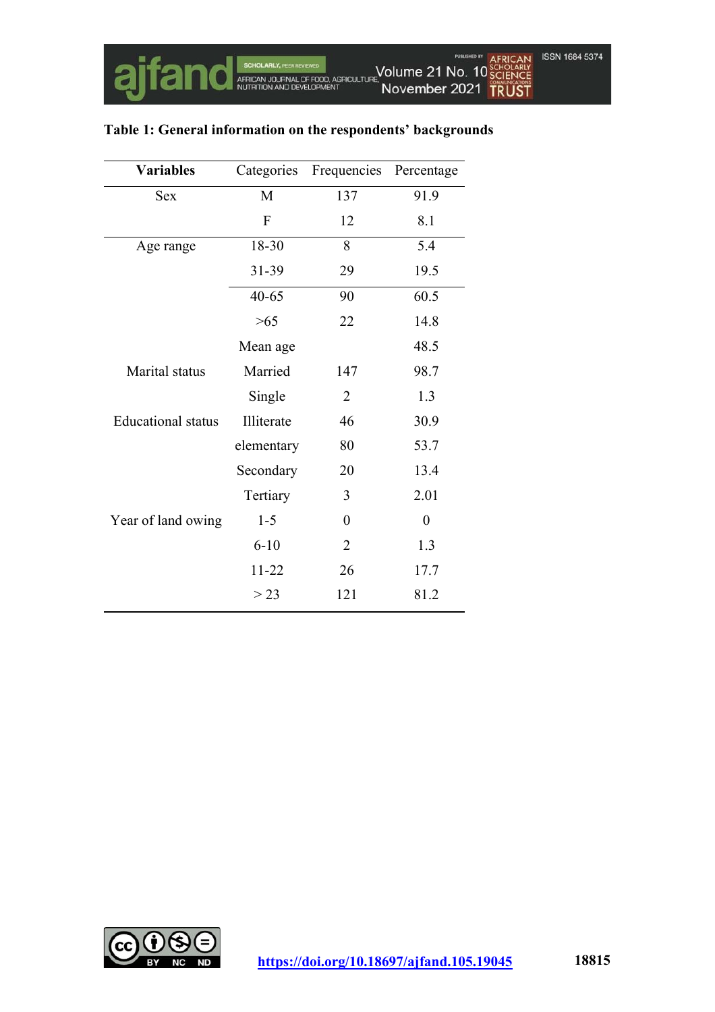| <b>Variables</b>          | Categories   | Frequencies      | Percentage       |
|---------------------------|--------------|------------------|------------------|
| <b>Sex</b>                | M            | 137              | 91.9             |
|                           | $\mathbf{F}$ | 12               | 8.1              |
| Age range                 | 18-30        | 8                | 5.4              |
|                           | 31-39        | 29               | 19.5             |
|                           | $40 - 65$    | 90               | 60.5             |
|                           | >65          | 22               | 14.8             |
|                           | Mean age     |                  | 48.5             |
| Marital status            | Married      | 147              | 98.7             |
|                           | Single       | 2                | 1.3              |
| <b>Educational</b> status | Illiterate   | 46               | 30.9             |
|                           | elementary   | 80               | 53.7             |
|                           | Secondary    | 20               | 13.4             |
|                           | Tertiary     | 3                | 2.01             |
| Year of land owing        | $1 - 5$      | $\boldsymbol{0}$ | $\boldsymbol{0}$ |
|                           | $6 - 10$     | 2                | 1.3              |
|                           | $11 - 22$    | 26               | 17.7             |
|                           | > 23         | 121              | 81.2             |

# **Table 1: General information on the respondents' backgrounds**

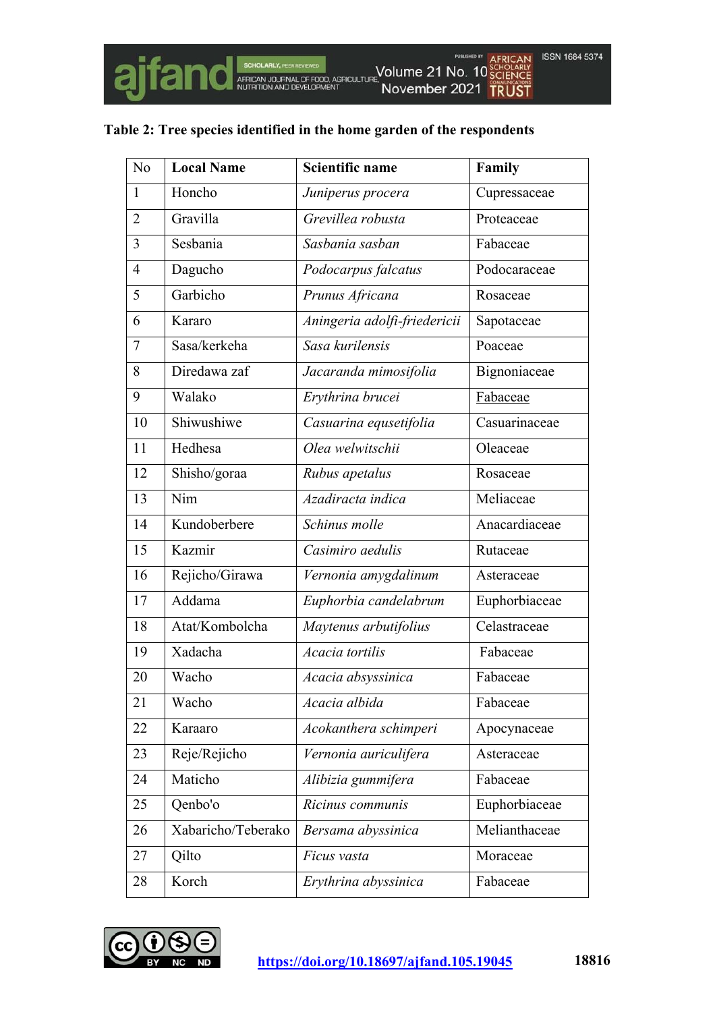|  |  |  |  | Table 2: Tree species identified in the home garden of the respondents |
|--|--|--|--|------------------------------------------------------------------------|
|  |  |  |  |                                                                        |

| N <sub>o</sub> | <b>Local Name</b>  | <b>Scientific name</b>       | Family        |
|----------------|--------------------|------------------------------|---------------|
| $\mathbf{1}$   | Honcho             | Juniperus procera            | Cupressaceae  |
| $\overline{2}$ | Gravilla           | Grevillea robusta            | Proteaceae    |
| 3              | Sesbania           | Sasbania sasban              | Fabaceae      |
| 4              | Dagucho            | Podocarpus falcatus          | Podocaraceae  |
| 5              | Garbicho           | Prunus Africana              | Rosaceae      |
| 6              | Kararo             | Aningeria adolfi-friedericii | Sapotaceae    |
| 7              | Sasa/kerkeha       | Sasa kurilensis              | Poaceae       |
| 8              | Diredawa zaf       | Jacaranda mimosifolia        | Bignoniaceae  |
| 9              | Walako             | Erythrina brucei             | Fabaceae      |
| 10             | Shiwushiwe         | Casuarina equsetifolia       | Casuarinaceae |
| 11             | Hedhesa            | Olea welwitschii             | Oleaceae      |
| 12             | Shisho/goraa       | Rubus apetalus               | Rosaceae      |
| 13             | Nim                | Azadiracta indica            | Meliaceae     |
| 14             | Kundoberbere       | Schinus molle                | Anacardiaceae |
| 15             | Kazmir             | Casimiro aedulis             | Rutaceae      |
| 16             | Rejicho/Girawa     | Vernonia amygdalinum         | Asteraceae    |
| 17             | Addama             | Euphorbia candelabrum        | Euphorbiaceae |
| 18             | Atat/Kombolcha     | Maytenus arbutifolius        | Celastraceae  |
| 19             | Xadacha            | Acacia tortilis              | Fabaceae      |
| 20             | Wacho              | Acacia absyssinica           | Fabaceae      |
| 21             | Wacho              | Acacia albida                | Fabaceae      |
| 22             | Karaaro            | Acokanthera schimperi        | Apocynaceae   |
| 23             | Reje/Rejicho       | Vernonia auriculifera        | Asteraceae    |
| 24             | Maticho            | Alibizia gummifera           | Fabaceae      |
| 25             | Qenbo'o            | Ricinus communis             | Euphorbiaceae |
| 26             | Xabaricho/Teberako | Bersama abyssinica           | Melianthaceae |
| 27             | Qilto              | Ficus vasta                  | Moraceae      |
| 28             | Korch              | Erythrina abyssinica         | Fabaceae      |

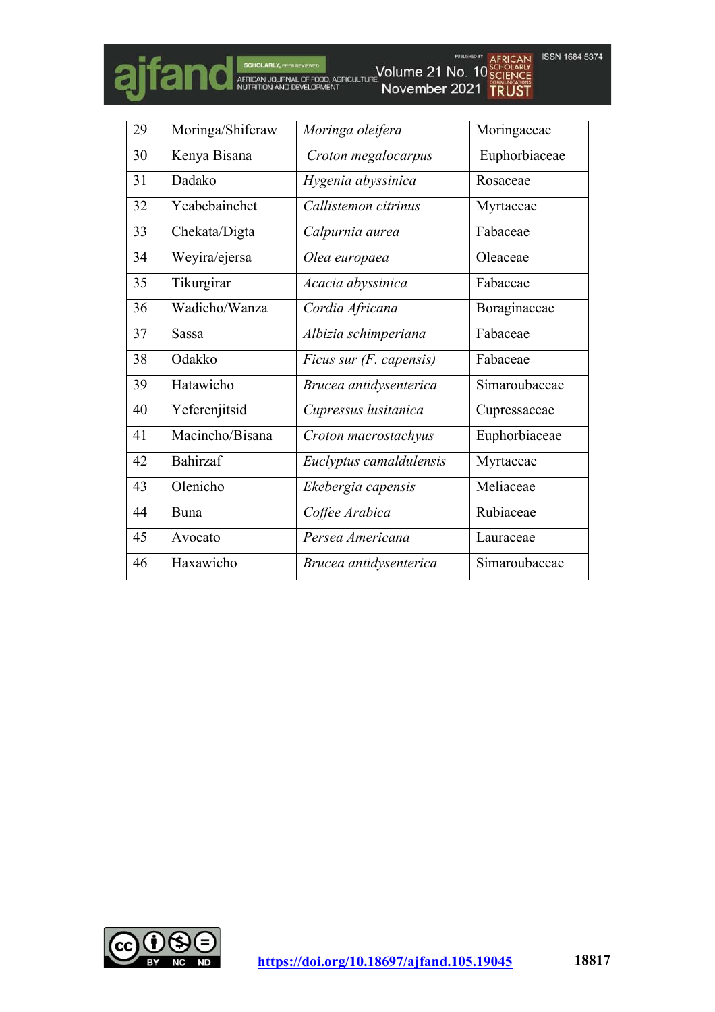

**ISSN 1684 5374** 

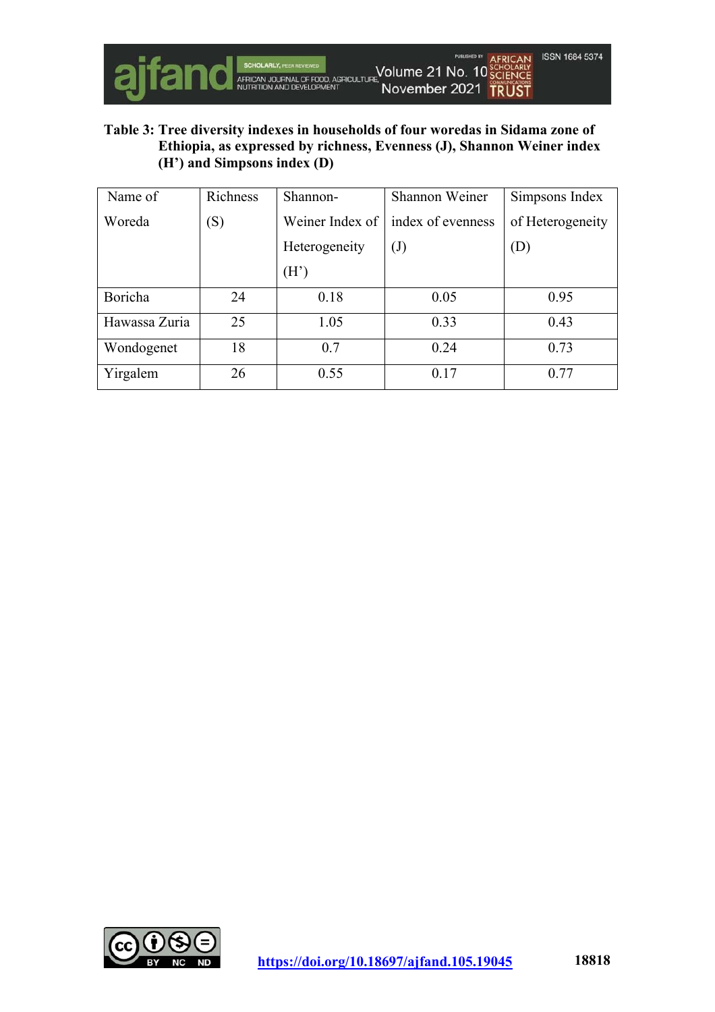

### **Table 3: Tree diversity indexes in households of four woredas in Sidama zone of Ethiopia, as expressed by richness, Evenness (J), Shannon Weiner index (H') and Simpsons index (D)**

| Name of       | Richness       | Shannon-                                    | Shannon Weiner | Simpsons Index   |  |
|---------------|----------------|---------------------------------------------|----------------|------------------|--|
| Woreda        | $(\mathrm{S})$ | Weiner Index of<br>index of evenness        |                | of Heterogeneity |  |
|               |                | Heterogeneity<br>$\left( \mathrm{J}\right)$ |                | (D)              |  |
|               |                | (H')                                        |                |                  |  |
| Boricha       | 24             | 0.18                                        | 0.05           | 0.95             |  |
| Hawassa Zuria | 25             | 1.05                                        | 0.33           | 0.43             |  |
| Wondogenet    | 18             | 0.7                                         | 0.24           | 0.73             |  |
| Yirgalem      | 26             | 0.55                                        | 0.17           | 0.77             |  |

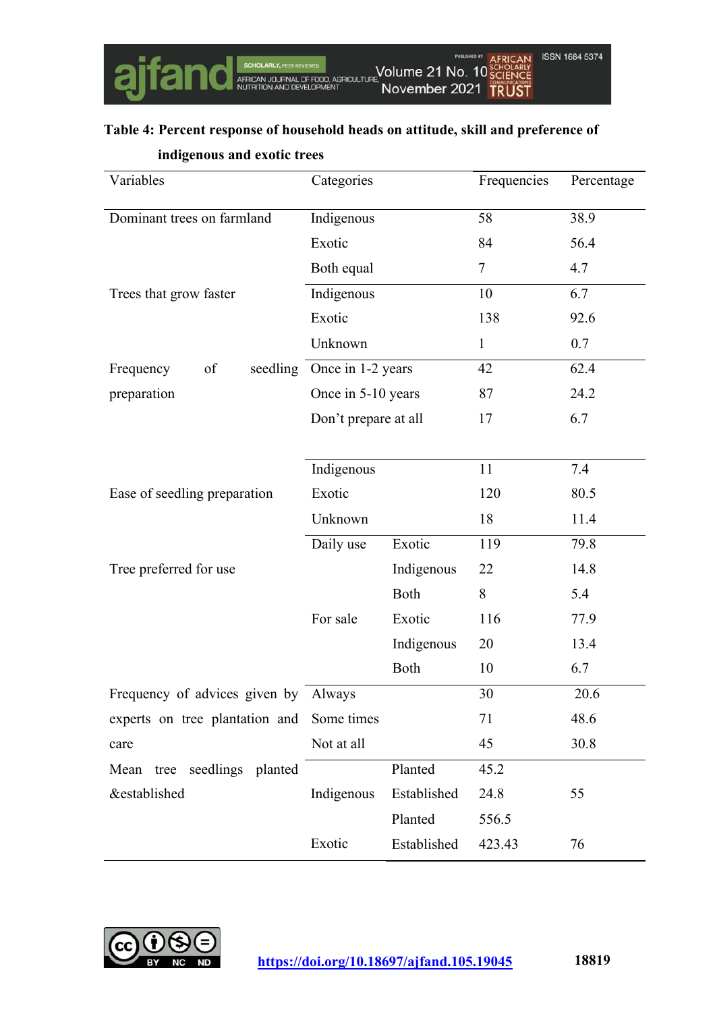# **Table 4: Percent response of household heads on attitude, skill and preference of**

| Variables                                 | Categories                                 |             | Frequencies  | Percentage |
|-------------------------------------------|--------------------------------------------|-------------|--------------|------------|
| Dominant trees on farmland                | Indigenous                                 |             | 58           | 38.9       |
|                                           | Exotic                                     |             | 84           | 56.4       |
|                                           | Both equal                                 |             | 7            | 4.7        |
| Trees that grow faster                    | Indigenous                                 |             | 10           | 6.7        |
|                                           | Exotic                                     |             | 138          | 92.6       |
|                                           | Unknown                                    |             | $\mathbf{1}$ | 0.7        |
| Frequency<br>of                           | seedling Once in 1-2 years                 |             | 42           | 62.4       |
| preparation                               | Once in 5-10 years<br>Don't prepare at all |             | 87           | 24.2       |
|                                           |                                            |             | 17           | 6.7        |
|                                           |                                            |             |              |            |
|                                           | Indigenous                                 |             | 11           | 7.4        |
| Ease of seedling preparation              | Exotic<br>Unknown                          |             | 120          | 80.5       |
|                                           |                                            |             | 18           | 11.4       |
|                                           | Daily use                                  | Exotic      | 119          | 79.8       |
| Tree preferred for use                    |                                            | Indigenous  | 22           | 14.8       |
|                                           |                                            | Both        | 8            | 5.4        |
|                                           | For sale                                   | Exotic      | 116          | 77.9       |
|                                           |                                            | Indigenous  | 20           | 13.4       |
|                                           |                                            | Both        | 10           | 6.7        |
| Frequency of advices given by             | Always                                     |             | 30           | 20.6       |
| experts on tree plantation and Some times |                                            |             | 71           | 48.6       |
| care                                      | Not at all                                 |             | 45           | 30.8       |
| Mean tree seedlings planted               |                                            | Planted     | 45.2         |            |
| &established                              | Indigenous                                 | Established | 24.8         | 55         |
|                                           |                                            | Planted     | 556.5        |            |
|                                           | Exotic                                     | Established | 423.43       | 76         |

# **indigenous and exotic trees**

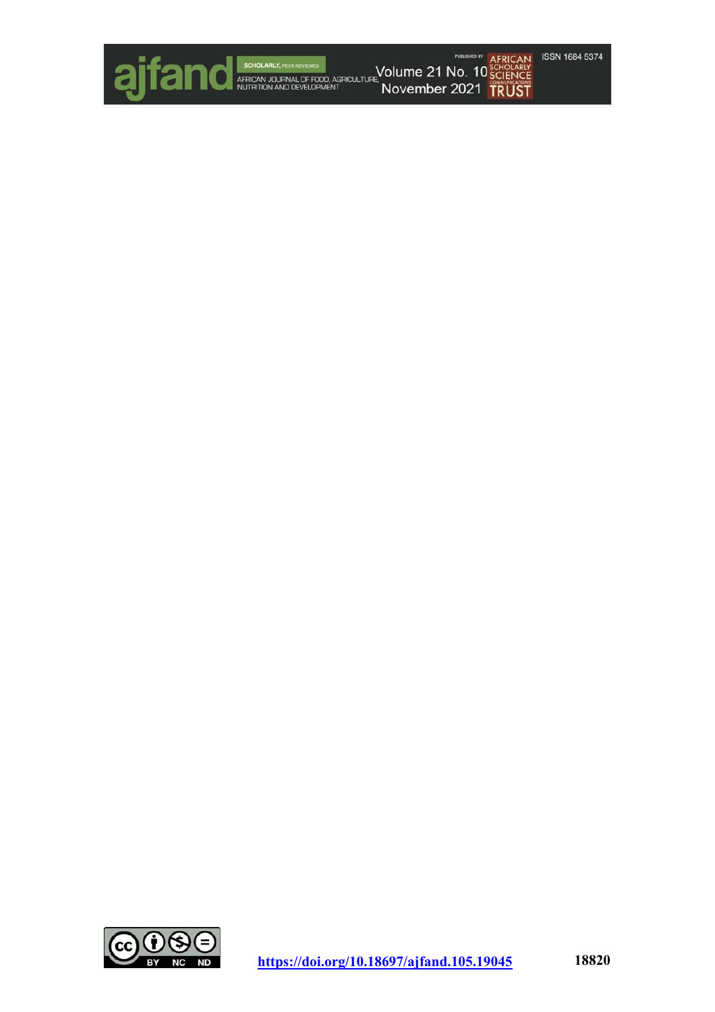

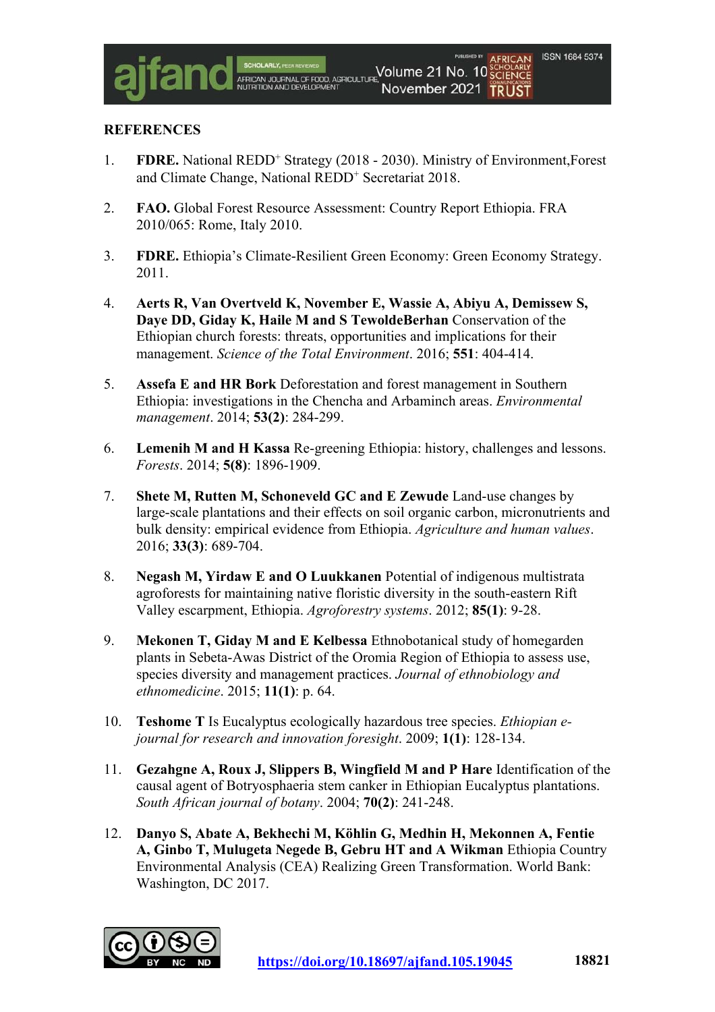### **REFERENCES**

- 1. **FDRE.** National REDD<sup>+</sup> Strategy (2018 2030). Ministry of Environment, Forest and Climate Change, National REDD<sup>+</sup> Secretariat 2018.
- 2. **FAO.** Global Forest Resource Assessment: Country Report Ethiopia. FRA 2010/065: Rome, Italy 2010.
- 3. **FDRE.** Ethiopia's Climate-Resilient Green Economy: Green Economy Strategy. 2011.
- 4. **Aerts R, Van Overtveld K, November E, Wassie A, Abiyu A, Demissew S, Daye DD, Giday K, Haile M and S TewoldeBerhan** Conservation of the Ethiopian church forests: threats, opportunities and implications for their management. *Science of the Total Environment*. 2016; **551**: 404-414.
- 5. **Assefa E and HR Bork** Deforestation and forest management in Southern Ethiopia: investigations in the Chencha and Arbaminch areas. *Environmental management*. 2014; **53(2)**: 284-299.
- 6. **Lemenih M and H Kassa** Re-greening Ethiopia: history, challenges and lessons. *Forests*. 2014; **5(8)**: 1896-1909.
- 7. **Shete M, Rutten M, Schoneveld GC and E Zewude** Land-use changes by large-scale plantations and their effects on soil organic carbon, micronutrients and bulk density: empirical evidence from Ethiopia. *Agriculture and human values*. 2016; **33(3)**: 689-704.
- 8. **Negash M, Yirdaw E and O Luukkanen** Potential of indigenous multistrata agroforests for maintaining native floristic diversity in the south-eastern Rift Valley escarpment, Ethiopia. *Agroforestry systems*. 2012; **85(1)**: 9-28.
- 9. **Mekonen T, Giday M and E Kelbessa** Ethnobotanical study of homegarden plants in Sebeta-Awas District of the Oromia Region of Ethiopia to assess use, species diversity and management practices. *Journal of ethnobiology and ethnomedicine*. 2015; **11(1)**: p. 64.
- 10. **Teshome T** Is Eucalyptus ecologically hazardous tree species. *Ethiopian ejournal for research and innovation foresight*. 2009; **1(1)**: 128-134.
- 11. **Gezahgne A, Roux J, Slippers B, Wingfield M and P Hare** Identification of the causal agent of Botryosphaeria stem canker in Ethiopian Eucalyptus plantations. *South African journal of botany*. 2004; **70(2)**: 241-248.
- 12. **Danyo S, Abate A, Bekhechi M, Köhlin G, Medhin H, Mekonnen A, Fentie A, Ginbo T, Mulugeta Negede B, Gebru HT and A Wikman** Ethiopia Country Environmental Analysis (CEA) Realizing Green Transformation. World Bank: Washington, DC 2017.

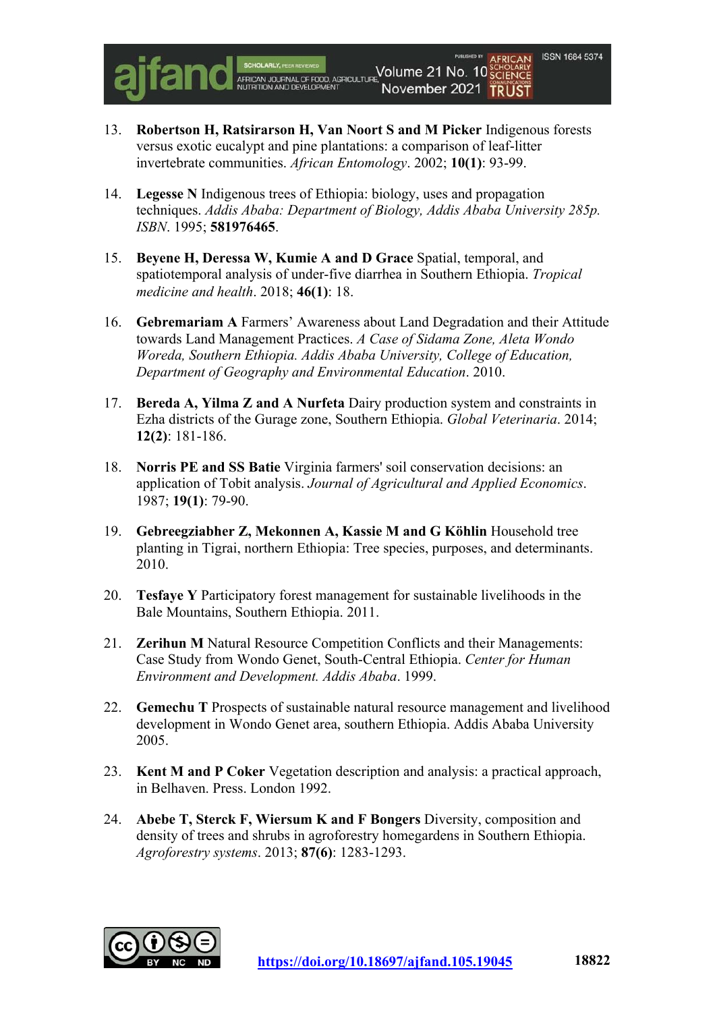

**ISSN 1684 5374** 

- 13. **Robertson H, Ratsirarson H, Van Noort S and M Picker** Indigenous forests versus exotic eucalypt and pine plantations: a comparison of leaf-litter invertebrate communities. *African Entomology*. 2002; **10(1)**: 93-99.
- 14. **Legesse N** Indigenous trees of Ethiopia: biology, uses and propagation techniques. *Addis Ababa: Department of Biology, Addis Ababa University 285p. ISBN*. 1995; **581976465**.
- 15. **Beyene H, Deressa W, Kumie A and D Grace** Spatial, temporal, and spatiotemporal analysis of under-five diarrhea in Southern Ethiopia. *Tropical medicine and health*. 2018; **46(1)**: 18.
- 16. **Gebremariam A** Farmers' Awareness about Land Degradation and their Attitude towards Land Management Practices. *A Case of Sidama Zone, Aleta Wondo Woreda, Southern Ethiopia. Addis Ababa University, College of Education, Department of Geography and Environmental Education*. 2010.
- 17. **Bereda A, Yilma Z and A Nurfeta** Dairy production system and constraints in Ezha districts of the Gurage zone, Southern Ethiopia. *Global Veterinaria*. 2014; **12(2)**: 181-186.
- 18. **Norris PE and SS Batie** Virginia farmers' soil conservation decisions: an application of Tobit analysis. *Journal of Agricultural and Applied Economics*. 1987; **19(1)**: 79-90.
- 19. **Gebreegziabher Z, Mekonnen A, Kassie M and G Köhlin** Household tree planting in Tigrai, northern Ethiopia: Tree species, purposes, and determinants. 2010.
- 20. **Tesfaye Y** Participatory forest management for sustainable livelihoods in the Bale Mountains, Southern Ethiopia. 2011.
- 21. **Zerihun M** Natural Resource Competition Conflicts and their Managements: Case Study from Wondo Genet, South-Central Ethiopia. *Center for Human Environment and Development. Addis Ababa*. 1999.
- 22. **Gemechu T** Prospects of sustainable natural resource management and livelihood development in Wondo Genet area, southern Ethiopia. Addis Ababa University 2005.
- 23. **Kent M and P Coker** Vegetation description and analysis: a practical approach, in Belhaven. Press. London 1992.
- 24. **Abebe T, Sterck F, Wiersum K and F Bongers** Diversity, composition and density of trees and shrubs in agroforestry homegardens in Southern Ethiopia. *Agroforestry systems*. 2013; **87(6)**: 1283-1293.